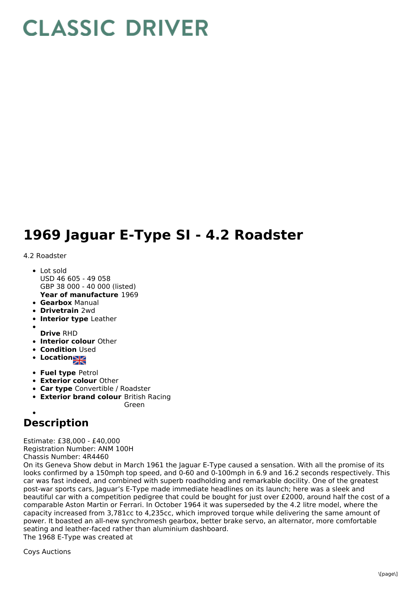## **CLASSIC DRIVER**

## **1969 Jaguar E-Type SI - 4.2 Roadster**

## 4.2 Roadster

- **Year of manufacture** 1969 Lot sold USD 46 605 - 49 058 GBP 38 000 - 40 000 (listed)
- **Gearbox** Manual
- **Drivetrain** 2wd
- **Interior type** Leather
- 
- **Drive** RHD
- **Interior colour** Other
- **Condition Used**
- **Location**
- **Fuel type** Petrol
- **Exterior colour** Other
- **Car type** Convertible / Roadster
- **Exterior brand colour** British Racing
	- Green

## **Description**

Estimate: £38,000 - £40,000 Registration Number: ANM 100H

Chassis Number: 4R4460

On its Geneva Show debut in March 1961 the Jaguar E-Type caused a sensation. With all the promise of its looks confirmed by a 150mph top speed, and 0-60 and 0-100mph in 6.9 and 16.2 seconds respectively. This car was fast indeed, and combined with superb roadholding and remarkable docility. One of the greatest post-war sports cars, Jaguar's E-Type made immediate headlines on its launch; here was a sleek and beautiful car with a competition pedigree that could be bought for just over £2000, around half the cost of a comparable Aston Martin or Ferrari. In October 1964 it was superseded by the 4.2 litre model, where the capacity increased from 3,781cc to 4,235cc, which improved torque while delivering the same amount of power. It boasted an all-new synchromesh gearbox, better brake servo, an alternator, more comfortable seating and leather-faced rather than aluminium dashboard. The 1968 E-Type was created at

Coys Auctions